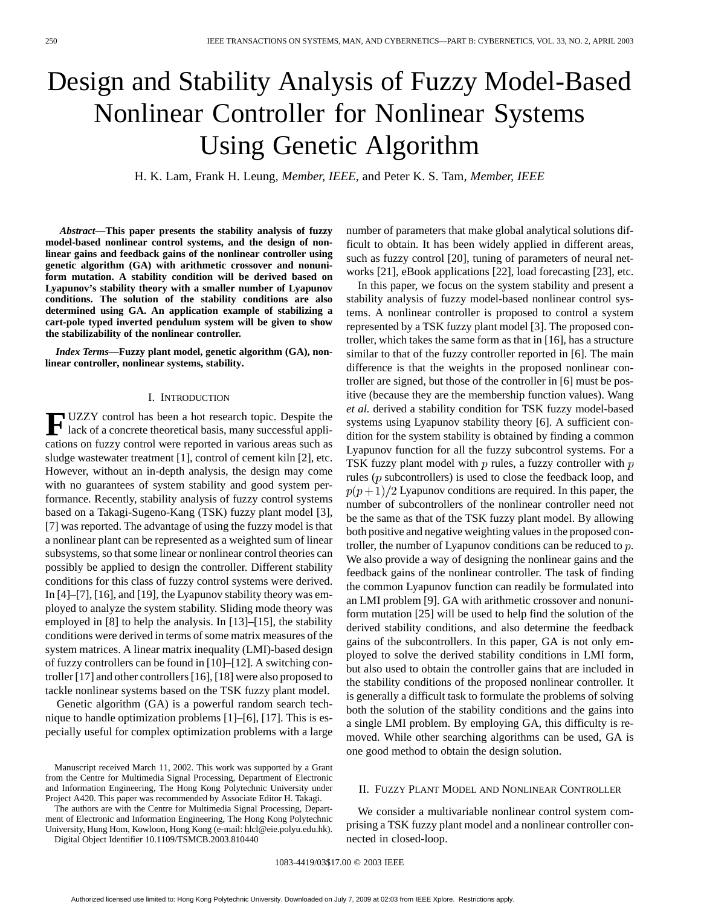# Design and Stability Analysis of Fuzzy Model-Based Nonlinear Controller for Nonlinear Systems Using Genetic Algorithm

H. K. Lam, Frank H. Leung*, Member, IEEE*, and Peter K. S. Tam*, Member, IEEE*

*Abstract—***This paper presents the stability analysis of fuzzy model-based nonlinear control systems, and the design of nonlinear gains and feedback gains of the nonlinear controller using genetic algorithm (GA) with arithmetic crossover and nonuniform mutation. A stability condition will be derived based on Lyapunov's stability theory with a smaller number of Lyapunov conditions. The solution of the stability conditions are also determined using GA. An application example of stabilizing a cart-pole typed inverted pendulum system will be given to show the stabilizability of the nonlinear controller.**

*Index Terms—***Fuzzy plant model, genetic algorithm (GA), nonlinear controller, nonlinear systems, stability.**

#### I. INTRODUCTION

**F** UZZY control has been a hot research topic. Despite the lack of a concrete theoretical basis, many successful applilack of a concrete theoretical basis, many successful applications on fuzzy control were reported in various areas such as sludge wastewater treatment [1], control of cement kiln [2], etc. However, without an in-depth analysis, the design may come with no guarantees of system stability and good system performance. Recently, stability analysis of fuzzy control systems based on a Takagi-Sugeno-Kang (TSK) fuzzy plant model [3], [7] was reported. The advantage of using the fuzzy model is that a nonlinear plant can be represented as a weighted sum of linear subsystems, so that some linear or nonlinear control theories can possibly be applied to design the controller. Different stability conditions for this class of fuzzy control systems were derived. In [4]–[7], [16], and [19], the Lyapunov stability theory was employed to analyze the system stability. Sliding mode theory was employed in [8] to help the analysis. In [13]–[15], the stability conditions were derived in terms of some matrix measures of the system matrices. A linear matrix inequality (LMI)-based design of fuzzy controllers can be found in [10]–[12]. A switching controller [17] and other controllers [16], [18] were also proposed to tackle nonlinear systems based on the TSK fuzzy plant model.

Genetic algorithm (GA) is a powerful random search technique to handle optimization problems [1]–[6], [17]. This is especially useful for complex optimization problems with a large

The authors are with the Centre for Multimedia Signal Processing, Department of Electronic and Information Engineering, The Hong Kong Polytechnic University, Hung Hom, Kowloon, Hong Kong (e-mail: hlcl@eie.polyu.edu.hk).

Digital Object Identifier 10.1109/TSMCB.2003.810440

number of parameters that make global analytical solutions difficult to obtain. It has been widely applied in different areas, such as fuzzy control [20], tuning of parameters of neural networks [21], eBook applications [22], load forecasting [23], etc.

In this paper, we focus on the system stability and present a stability analysis of fuzzy model-based nonlinear control systems. A nonlinear controller is proposed to control a system represented by a TSK fuzzy plant model [3]. The proposed controller, which takes the same form as that in [16], has a structure similar to that of the fuzzy controller reported in [6]. The main difference is that the weights in the proposed nonlinear controller are signed, but those of the controller in [6] must be positive (because they are the membership function values). Wang *et al.* derived a stability condition for TSK fuzzy model-based systems using Lyapunov stability theory [6]. A sufficient condition for the system stability is obtained by finding a common Lyapunov function for all the fuzzy subcontrol systems. For a TSK fuzzy plant model with  $p$  rules, a fuzzy controller with  $p$ rules ( $p$  subcontrollers) is used to close the feedback loop, and  $p(p+1)/2$  Lyapunov conditions are required. In this paper, the number of subcontrollers of the nonlinear controller need not be the same as that of the TSK fuzzy plant model. By allowing both positive and negative weighting values in the proposed controller, the number of Lyapunov conditions can be reduced to  $p$ . We also provide a way of designing the nonlinear gains and the feedback gains of the nonlinear controller. The task of finding the common Lyapunov function can readily be formulated into an LMI problem [9]. GA with arithmetic crossover and nonuniform mutation [25] will be used to help find the solution of the derived stability conditions, and also determine the feedback gains of the subcontrollers. In this paper, GA is not only employed to solve the derived stability conditions in LMI form, but also used to obtain the controller gains that are included in the stability conditions of the proposed nonlinear controller. It is generally a difficult task to formulate the problems of solving both the solution of the stability conditions and the gains into a single LMI problem. By employing GA, this difficulty is removed. While other searching algorithms can be used, GA is one good method to obtain the design solution.

## II. FUZZY PLANT MODEL AND NONLINEAR CONTROLLER

We consider a multivariable nonlinear control system comprising a TSK fuzzy plant model and a nonlinear controller connected in closed-loop.

Manuscript received March 11, 2002. This work was supported by a Grant from the Centre for Multimedia Signal Processing, Department of Electronic and Information Engineering, The Hong Kong Polytechnic University under Project A420. This paper was recommended by Associate Editor H. Takagi.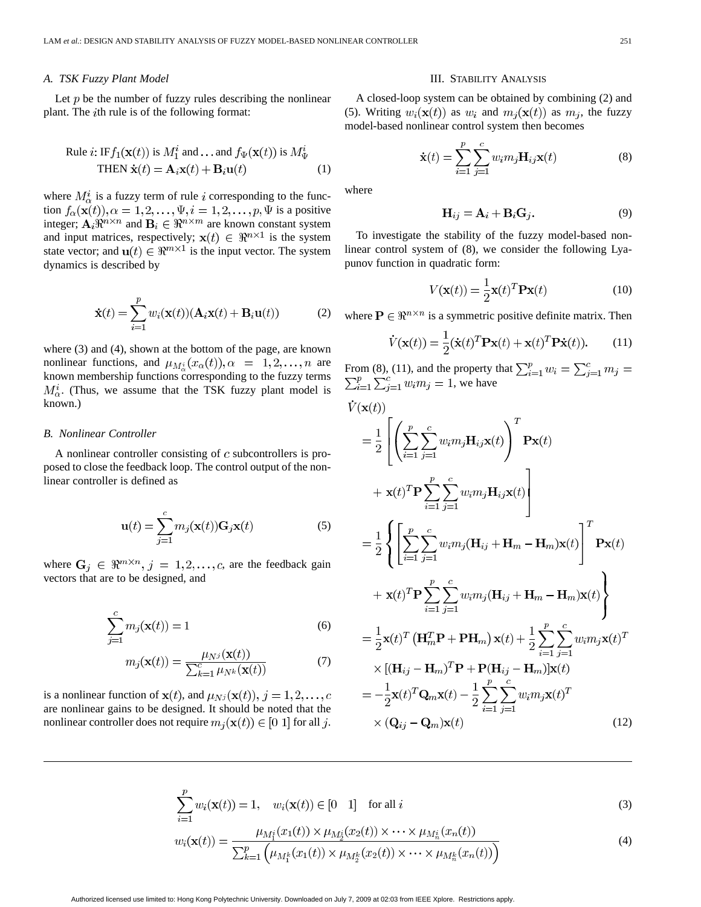### *A. TSK Fuzzy Plant Model*

Let  $p$  be the number of fuzzy rules describing the nonlinear plant. The  $i$ th rule is of the following format:

Rule *i*: IF
$$
f_1(\mathbf{x}(t))
$$
 is  $M_1^i$  and ... and  $f_\Psi(\mathbf{x}(t))$  is  $M_\Psi^i$   
THEN  $\dot{\mathbf{x}}(t) = \mathbf{A}_i \mathbf{x}(t) + \mathbf{B}_i \mathbf{u}(t)$  (1)

where  $M_{\alpha}^{i}$  is a fuzzy term of rule i corresponding to the function  $f_{\alpha}(\mathbf{x}(t)), \alpha = 1, 2, ..., \Psi, i = 1, 2, ..., p, \Psi$  is a positive integer;  $\mathbf{A}_i \mathfrak{R}^{n \times n}$  and  $\mathbf{B}_i \in \mathfrak{R}^{n \times m}$  are known constant system and input matrices, respectively;  $\mathbf{x}(t) \in \mathbb{R}^{n \times 1}$  is the system state vector; and  $\mathbf{u}(t) \in \mathbb{R}^{m \times 1}$  is the input vector. The system dynamics is described by

$$
\dot{\mathbf{x}}(t) = \sum_{i=1}^{p} w_i(\mathbf{x}(t)) (\mathbf{A}_i \mathbf{x}(t) + \mathbf{B}_i \mathbf{u}(t))
$$
 (2)

where (3) and (4), shown at the bottom of the page, are known nonlinear functions, and  $\mu_{M_{\alpha}^{i}}(x_{\alpha}(t)), \alpha = 1, 2, ..., n$  are known membership functions corresponding to the fuzzy terms  $M_{\alpha}^{i}$ . (Thus, we assume that the TSK fuzzy plant model is known.)

## *B. Nonlinear Controller*

A nonlinear controller consisting of  $c$  subcontrollers is proposed to close the feedback loop. The control output of the nonlinear controller is defined as

$$
\mathbf{u}(t) = \sum_{j=1}^{c} m_j(\mathbf{x}(t)) \mathbf{G}_j \mathbf{x}(t)
$$
 (5)

where  $G_j \in \Re^{m \times n}, j = 1, 2, ..., c$ , are the feedback gain vectors that are to be designed, and

$$
\sum_{i=1}^{c} m_j(\mathbf{x}(t)) = 1\tag{6}
$$

$$
m_j(\mathbf{x}(t)) = \frac{\mu_{N^j}(\mathbf{x}(t))}{\sum_{k=1}^c \mu_{N^k}(\mathbf{x}(t))}
$$
(7)

is a nonlinear function of  $\mathbf{x}(t)$ , and  $\mu_{N^j}(\mathbf{x}(t)), j = 1, 2, \dots, c$ are nonlinear gains to be designed. It should be noted that the nonlinear controller does not require  $m_i(\mathbf{x}(t)) \in [0, 1]$  for all j.

### III. STABILITY ANALYSIS

A closed-loop system can be obtained by combining (2) and (5). Writing  $w_i(\mathbf{x}(t))$  as  $w_i$  and  $m_j(\mathbf{x}(t))$  as  $m_j$ , the fuzzy model-based nonlinear control system then becomes

$$
\dot{\mathbf{x}}(t) = \sum_{i=1}^{p} \sum_{j=1}^{c} w_i m_j \mathbf{H}_{ij} \mathbf{x}(t)
$$
 (8)

where

$$
\mathbf{H}_{ij} = \mathbf{A}_i + \mathbf{B}_i \mathbf{G}_j. \tag{9}
$$

To investigate the stability of the fuzzy model-based nonlinear control system of (8), we consider the following Lyapunov function in quadratic form:

$$
V(\mathbf{x}(t)) = \frac{1}{2}\mathbf{x}(t)^T \mathbf{P} \mathbf{x}(t)
$$
 (10)

where  $P \in \mathbb{R}^{n \times n}$  is a symmetric positive definite matrix. Then

$$
\dot{V}(\mathbf{x}(t)) = \frac{1}{2}(\dot{\mathbf{x}}(t)^T \mathbf{P} \mathbf{x}(t) + \mathbf{x}(t)^T \mathbf{P} \dot{\mathbf{x}}(t)).
$$
 (11)

From (8), (11), and the property that  $\sum_{i=1}^{p} w_i = \sum_{j=1}^{c} m_j =$  $\sum_{i=1}^{p} \sum_{j=1}^{c} w_i m_j = 1$ , we have

$$
\dot{V}(\mathbf{x}(t))
$$
\n
$$
= \frac{1}{2} \left[ \left( \sum_{i=1}^{p} \sum_{j=1}^{c} w_i m_j \mathbf{H}_{ij} \mathbf{x}(t) \right)^T \mathbf{P} \mathbf{x}(t) + \mathbf{x}(t)^T \mathbf{P} \sum_{i=1}^{p} \sum_{j=1}^{c} w_i m_j \mathbf{H}_{ij} \mathbf{x}(t) \right]
$$
\n
$$
= \frac{1}{2} \left\{ \left[ \sum_{i=1}^{p} \sum_{j=1}^{c} w_i m_j (\mathbf{H}_{ij} + \mathbf{H}_m - \mathbf{H}_m) \mathbf{x}(t) \right]^T \mathbf{P} \mathbf{x}(t) + \mathbf{x}(t)^T \mathbf{P} \sum_{i=1}^{p} \sum_{j=1}^{c} w_i m_j (\mathbf{H}_{ij} + \mathbf{H}_m - \mathbf{H}_m) \mathbf{x}(t) \right\}
$$
\n
$$
= \frac{1}{2} \mathbf{x}(t)^T (\mathbf{H}_m^T \mathbf{P} + \mathbf{P} \mathbf{H}_m) \mathbf{x}(t) + \frac{1}{2} \sum_{i=1}^{p} \sum_{j=1}^{c} w_i m_j \mathbf{x}(t)^T
$$
\n
$$
\times \left[ (\mathbf{H}_{ij} - \mathbf{H}_m)^T \mathbf{P} + \mathbf{P} (\mathbf{H}_{ij} - \mathbf{H}_m) \right] \mathbf{x}(t)
$$
\n
$$
= -\frac{1}{2} \mathbf{x}(t)^T \mathbf{Q}_m \mathbf{x}(t) - \frac{1}{2} \sum_{i=1}^{p} \sum_{j=1}^{c} w_i m_j \mathbf{x}(t)^T
$$
\n
$$
\times (\mathbf{Q}_{ij} - \mathbf{Q}_m) \mathbf{x}(t)
$$
\n(12)

$$
\sum_{i=1}^{p} w_i(\mathbf{x}(t)) = 1, \quad w_i(\mathbf{x}(t)) \in [0 \quad 1] \quad \text{for all } i
$$
\n
$$
w_i(\mathbf{x}(t)) = \frac{\mu_{M_1^i}(x_1(t)) \times \mu_{M_2^i}(x_2(t)) \times \dots \times \mu_{M_n^i}(x_n(t))}{\sum_{k=1}^{p} \left(\mu_{M_1^k}(x_1(t)) \times \mu_{M_2^k}(x_2(t)) \times \dots \times \mu_{M_n^k}(x_n(t))\right)}
$$
\n(4)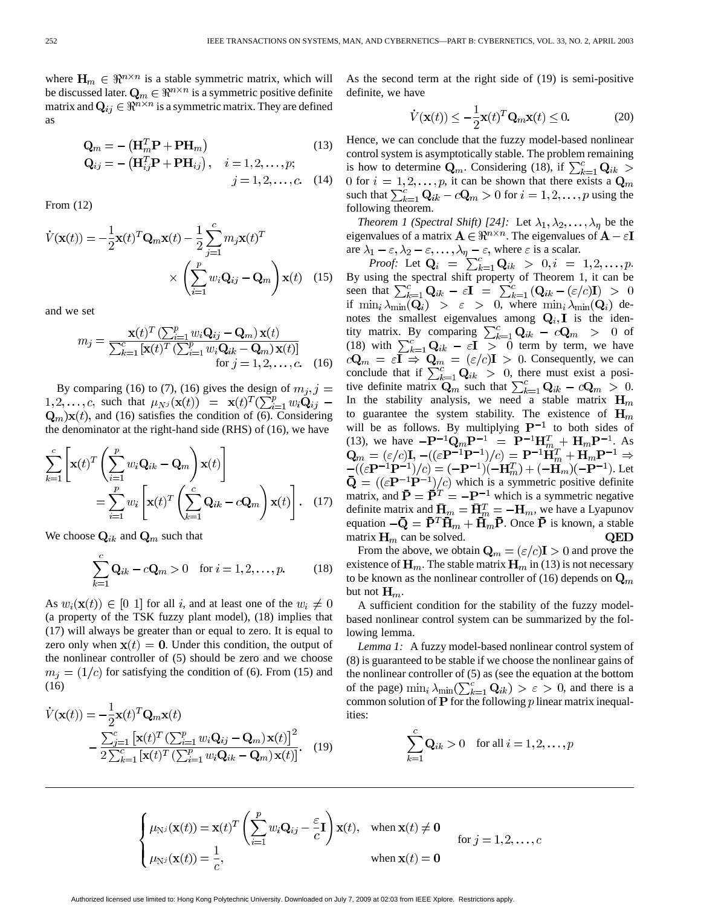where  $\mathbf{H}_m \in \mathbb{R}^{n \times n}$  is a stable symmetric matrix, which will be discussed later.  $\mathbf{Q}_m \in \mathbb{R}^{n \times n}$  is a symmetric positive definite matrix and  $\mathbf{Q}_{ij} \in \mathbb{R}^{n \times n}$  is a symmetric matrix. They are defined as

$$
\mathbf{Q}_m = -(\mathbf{H}_{m}^T \mathbf{P} + \mathbf{P} \mathbf{H}_{m})
$$
(13)  

$$
\mathbf{Q}_{ij} = -(\mathbf{H}_{ij}^T \mathbf{P} + \mathbf{P} \mathbf{H}_{ij}), \quad i = 1, 2, ..., p;
$$
  

$$
j = 1, 2, ..., c.
$$
(14)

From (12)

$$
\dot{V}(\mathbf{x}(t)) = -\frac{1}{2}\mathbf{x}(t)^{T}\mathbf{Q}_{m}\mathbf{x}(t) - \frac{1}{2}\sum_{j=1}^{c} m_{j}\mathbf{x}(t)^{T}
$$

$$
\times \left(\sum_{i=1}^{p} w_{i}\mathbf{Q}_{ij} - \mathbf{Q}_{m}\right)\mathbf{x}(t) \quad (15)
$$

and we set

$$
m_j = \frac{\mathbf{x}(t)^T \left(\sum_{i=1}^p w_i \mathbf{Q}_{ij} - \mathbf{Q}_m\right) \mathbf{x}(t)}{\sum_{k=1}^c \left[\mathbf{x}(t)^T \left(\sum_{i=1}^p w_i \mathbf{Q}_{ik} - \mathbf{Q}_m\right) \mathbf{x}(t)\right]}
$$
\nfor  $j = 1, 2, ..., c$ . (16)

By comparing (16) to (7), (16) gives the design of  $m_i$ ,  $j =$  $1, 2, \ldots, c$ , such that  $\mu_{N^j}(\mathbf{x}(t)) = \mathbf{x}(t)^T (\sum_{i=1}^p w_i \mathbf{Q}_{ij} \mathbf{Q}_m$ ) $\mathbf{x}(t)$ , and (16) satisfies the condition of (6). Considering the denominator at the right-hand side (RHS) of (16), we have

$$
\sum_{k=1}^{c} \left[ \mathbf{x}(t)^{T} \left( \sum_{i=1}^{p} w_{i} \mathbf{Q}_{ik} - \mathbf{Q}_{m} \right) \mathbf{x}(t) \right]
$$

$$
= \sum_{i=1}^{p} w_{i} \left[ \mathbf{x}(t)^{T} \left( \sum_{k=1}^{c} \mathbf{Q}_{ik} - c \mathbf{Q}_{m} \right) \mathbf{x}(t) \right]. \quad (17)
$$

We choose  $Q_{ik}$  and  $Q_m$  such that

$$
\sum_{k=1}^{c} \mathbf{Q}_{ik} - c\mathbf{Q}_m > 0 \quad \text{for } i = 1, 2, ..., p.
$$
 (18)

As  $w_i(\mathbf{x}(t)) \in [0, 1]$  for all i, and at least one of the  $w_i \neq 0$ (a property of the TSK fuzzy plant model), (18) implies that (17) will always be greater than or equal to zero. It is equal to zero only when  $\mathbf{x}(t) = \mathbf{0}$ . Under this condition, the output of the nonlinear controller of (5) should be zero and we choose  $m_j = (1/c)$  for satisfying the condition of (6). From (15) and (16)

$$
\dot{V}(\mathbf{x}(t)) = -\frac{1}{2}\mathbf{x}(t)^{T}\mathbf{Q}_{m}\mathbf{x}(t)
$$
\n
$$
-\frac{\sum_{j=1}^{c} \left[\mathbf{x}(t)^{T} \left(\sum_{i=1}^{p} w_{i} \mathbf{Q}_{ij} - \mathbf{Q}_{m}\right) \mathbf{x}(t)\right]^{2}}{2\sum_{k=1}^{c} \left[\mathbf{x}(t)^{T} \left(\sum_{i=1}^{p} w_{i} \mathbf{Q}_{ik} - \mathbf{Q}_{m}\right) \mathbf{x}(t)\right]}.
$$
\n(19)

As the second term at the right side of (19) is semi-positive definite, we have

$$
\dot{V}(\mathbf{x}(t)) \le -\frac{1}{2}\mathbf{x}(t)^T \mathbf{Q}_m \mathbf{x}(t) \le 0.
$$
 (20)

Hence, we can conclude that the fuzzy model-based nonlinear control system is asymptotically stable. The problem remaining is how to determine  $\mathbf{Q}_m$ . Considering (18), if  $\sum_{k=1}^{c} \mathbf{Q}_{ik}$  > 0 for  $i = 1, 2, ..., p$ , it can be shown that there exists a  $\mathbf{Q}_m$ such that  $\sum_{k=1}^{c} \mathbf{Q}_{ik} - c\mathbf{Q}_m > 0$  for  $i = 1, 2, ..., p$  using the following theorem.

*Theorem 1 (Spectral Shift) [24]:* Let  $\lambda_1, \lambda_2, \ldots, \lambda_n$  be the eigenvalues of a matrix  $\mathbf{A} \in \mathbb{R}^{n \times n}$ . The eigenvalues of  $\mathbf{A} - \varepsilon \mathbf{I}$ are  $\lambda_1 - \varepsilon, \lambda_2 - \varepsilon, \ldots, \lambda_n - \varepsilon$ , where  $\varepsilon$  is a scalar.

*Proof:* Let  $Q_i = \sum_{k=1}^{c} Q_{ik} > 0, i = 1, 2, ..., p$ . By using the spectral shift property of Theorem 1, it can be seen that if  $\min_i \lambda_{\min}(\mathbf{Q}_i) > \varepsilon > 0$ , where  $\min_i \lambda_{\min}(\mathbf{Q}_i)$  denotes the smallest eigenvalues among  $Q_i$ , I is the identity matrix. By comparing  $\sum_{k=1}^{c} \mathbf{Q}_{ik} - c \mathbf{Q}_m > 0$  of (18) with  $\sum_{k=1}^{c} \mathbf{Q}_{ik} - \varepsilon \mathbf{I} > 0$  term by term, we have . Consequently, we can conclude that if  $\sum_{k=1}^{c} \mathbf{Q}_{ik} > 0$ , there must exist a positive definite matrix  $\overline{\mathbf{Q}}_m^{\text{max}}$  such that  $\sum_{k=1}^c \mathbf{Q}_{ik} - c \mathbf{Q}_m > 0$ . In the stability analysis, we need a stable matrix  $\mathbf{H}_m$ to guarantee the system stability. The existence of  $\mathbf{H}_m$ will be as follows. By multiplying  $P^{-1}$  to both sides of (13), we have  $-{\bf P}^{-1}{\bf Q}_m {\bf P}^{-1} = {\bf P}^{-1}{\bf H}_m^T + {\bf H}_m {\bf P}^{-1}$ . As<br>  ${\bf Q}_m = (\varepsilon/c){\bf I}, -((\varepsilon {\bf P}^{-1} {\bf P}^{-1})/c) = {\bf P}^{-1}{\bf H}_m^T + {\bf H}_m {\bf P}^{-1} \Rightarrow$  $-(\left(\varepsilon \mathbf{P}^{-1} \mathbf{P}^{-1}\right)/c\right) = (-\mathbf{P}^{-1})\left(-\mathbf{H}_{m}^{T}\right) + (-\mathbf{H}_{m})(-\mathbf{P}^{-1}).$  Let  $\bar{\mathbf{Q}} = ((\varepsilon \mathbf{P}^{-1} \mathbf{P}^{-1})/c)$  which is a symmetric positive definite matrix, and  $\overline{\mathbf{P}} = \overline{\mathbf{P}}^T = -\mathbf{P}^{-1}$  which is a symmetric negative definite matrix and  $\bar{\mathbf{H}}_m = \bar{\mathbf{H}}_m^T = -\mathbf{H}_m$ , we have a Lyapunov equation  $-\bar{\mathbf{Q}} = \bar{\mathbf{P}}^T \bar{\mathbf{H}}_m + \bar{\mathbf{H}}_m \bar{\mathbf{P}}$ . Once  $\bar{\mathbf{P}}$  is known, a stable matrix  $\mathbf{H}_m$  can be solved. QED

From the above, we obtain  $\mathbf{Q}_m = (\varepsilon/c)\mathbf{I} > 0$  and prove the existence of  $H_m$ . The stable matrix  $H_m$  in (13) is not necessary to be known as the nonlinear controller of (16) depends on  $\mathbf{Q}_m$ but not  $\mathbf{H}_m$ .

A sufficient condition for the stability of the fuzzy modelbased nonlinear control system can be summarized by the following lemma.

*Lemma 1:* A fuzzy model-based nonlinear control system of (8) is guaranteed to be stable if we choose the nonlinear gains of the nonlinear controller of (5) as (see the equation at the bottom of the page)  $\min_i \lambda_{\min}(\sum_{k=1}^c \mathbf{Q}_{ik}) > \varepsilon > 0$ , and there is a common solution of  $P$  for the following p linear matrix inequalities:

$$
\sum_{k=1}^{c} \mathbf{Q}_{ik} > 0 \quad \text{for all } i = 1, 2, \dots, p
$$

$$
\mu_{N^j}(\mathbf{x}(t)) = \mathbf{x}(t)^T \left( \sum_{i=1}^p w_i \mathbf{Q}_{ij} - \frac{\varepsilon}{c} \mathbf{I} \right) \mathbf{x}(t), \text{ when } \mathbf{x}(t) \neq \mathbf{0} \quad \text{for } j = 1, 2, ..., c
$$
\n
$$
\mu_{N^j}(\mathbf{x}(t)) = \frac{1}{c}, \text{ when } \mathbf{x}(t) = \mathbf{0}
$$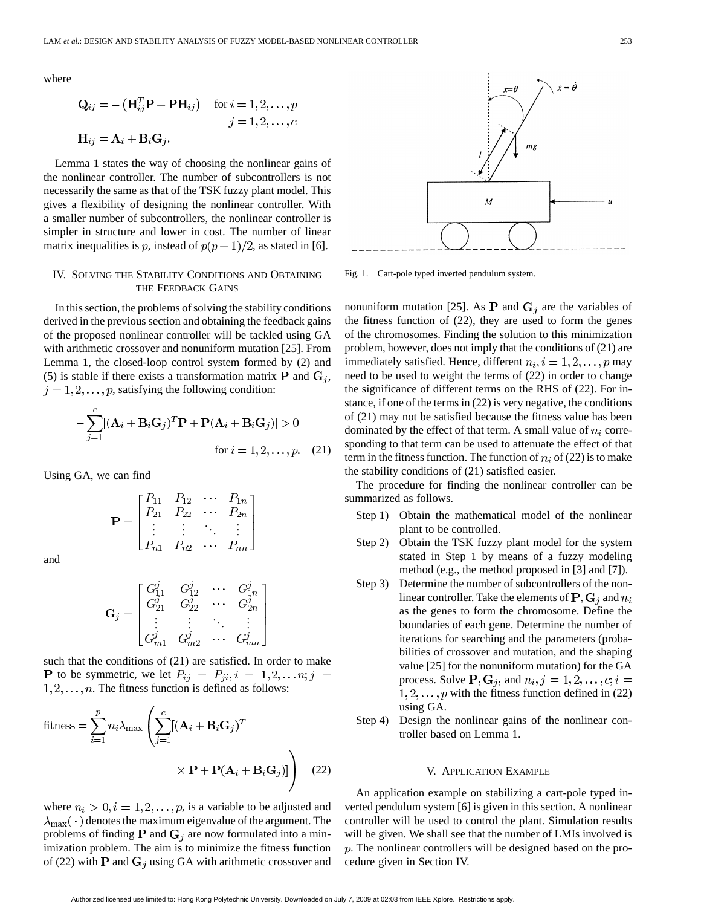where

$$
\mathbf{Q}_{ij} = -(\mathbf{H}_{ij}^T \mathbf{P} + \mathbf{P} \mathbf{H}_{ij}) \quad \text{for } i = 1, 2, \dots, p
$$

$$
j = 1, 2, \dots, c
$$

$$
\mathbf{H}_{ij} = \mathbf{A}_i + \mathbf{B}_i \mathbf{G}_j.
$$

Lemma 1 states the way of choosing the nonlinear gains of the nonlinear controller. The number of subcontrollers is not necessarily the same as that of the TSK fuzzy plant model. This gives a flexibility of designing the nonlinear controller. With a smaller number of subcontrollers, the nonlinear controller is simpler in structure and lower in cost. The number of linear matrix inequalities is p, instead of  $p(p+1)/2$ , as stated in [6].

# IV. SOLVING THE STABILITY CONDITIONS AND OBTAINING THE FEEDBACK GAINS

In this section, the problems of solving the stability conditions derived in the previous section and obtaining the feedback gains of the proposed nonlinear controller will be tackled using GA with arithmetic crossover and nonuniform mutation [25]. From Lemma 1, the closed-loop control system formed by (2) and (5) is stable if there exists a transformation matrix **P** and  $\mathbf{G}_i$ ,  $j = 1, 2, \dots, p$ , satisfying the following condition:

$$
-\sum_{j=1}^{c}[(\mathbf{A}_{i} + \mathbf{B}_{i}\mathbf{G}_{j})^{T}\mathbf{P} + \mathbf{P}(\mathbf{A}_{i} + \mathbf{B}_{i}\mathbf{G}_{j})] > 0
$$
  
for  $i = 1, 2, ..., p.$  (21)

Using GA, we can find

$$
\mathbf{P} = \begin{bmatrix} P_{11} & P_{12} & \cdots & P_{1n} \\ P_{21} & P_{22} & \cdots & P_{2n} \\ \vdots & \vdots & \ddots & \vdots \\ P_{n1} & P_{n2} & \cdots & P_{nn} \end{bmatrix}
$$

and

$$
\mathbf{G}_{j} = \begin{bmatrix} G_{11}^{j} & G_{12}^{j} & \cdots & G_{1n}^{j} \\ G_{21}^{j} & G_{22}^{j} & \cdots & G_{2n}^{j} \\ \vdots & \vdots & \ddots & \vdots \\ G_{m1}^{j} & G_{m2}^{j} & \cdots & G_{mn}^{j} \end{bmatrix}
$$

such that the conditions of (21) are satisfied. In order to make **P** to be symmetric, we let  $P_{ij} = P_{ji}, i = 1, 2, \dots n; j =$  $1, 2, \ldots, n$ . The fitness function is defined as follows:

fitness = 
$$
\sum_{i=1}^{p} n_i \lambda_{\max} \left( \sum_{j=1}^{c} [(\mathbf{A}_i + \mathbf{B}_i \mathbf{G}_j)^T \times \mathbf{P} + \mathbf{P} (\mathbf{A}_i + \mathbf{B}_i \mathbf{G}_j)] \right)
$$
 (22)

where  $n_i > 0, i = 1, 2, ..., p$ , is a variable to be adjusted and  $\lambda_{\text{max}}(\cdot)$  denotes the maximum eigenvalue of the argument. The problems of finding **P** and  $\mathbf{G}_j$  are now formulated into a minimization problem. The aim is to minimize the fitness function of (22) with  $P$  and  $G_j$  using GA with arithmetic crossover and



Fig. 1. Cart-pole typed inverted pendulum system.

nonuniform mutation [25]. As **P** and  $G_i$  are the variables of the fitness function of (22), they are used to form the genes of the chromosomes. Finding the solution to this minimization problem, however, does not imply that the conditions of (21) are immediately satisfied. Hence, different  $n_i$ ,  $i = 1, 2, \dots, p$  may need to be used to weight the terms of (22) in order to change the significance of different terms on the RHS of (22). For instance, if one of the terms in (22) is very negative, the conditions of (21) may not be satisfied because the fitness value has been dominated by the effect of that term. A small value of  $n_i$  corresponding to that term can be used to attenuate the effect of that term in the fitness function. The function of  $n_i$  of (22) is to make the stability conditions of (21) satisfied easier.

The procedure for finding the nonlinear controller can be summarized as follows.

- Step 1) Obtain the mathematical model of the nonlinear plant to be controlled.
- Step 2) Obtain the TSK fuzzy plant model for the system stated in Step 1 by means of a fuzzy modeling method (e.g., the method proposed in [3] and [7]).
- Step 3) Determine the number of subcontrollers of the nonlinear controller. Take the elements of  $P, G_i$  and  $n_i$ as the genes to form the chromosome. Define the boundaries of each gene. Determine the number of iterations for searching and the parameters (probabilities of crossover and mutation, and the shaping value [25] for the nonuniform mutation) for the GA process. Solve  $P, G_j$ , and  $n_i, j = 1, 2, \ldots, c; i =$  $1, 2, \ldots, p$  with the fitness function defined in (22) using GA.
- Step 4) Design the nonlinear gains of the nonlinear controller based on Lemma 1.

#### V. APPLICATION EXAMPLE

An application example on stabilizing a cart-pole typed inverted pendulum system [6] is given in this section. A nonlinear controller will be used to control the plant. Simulation results will be given. We shall see that the number of LMIs involved is . The nonlinear controllers will be designed based on the procedure given in Section IV.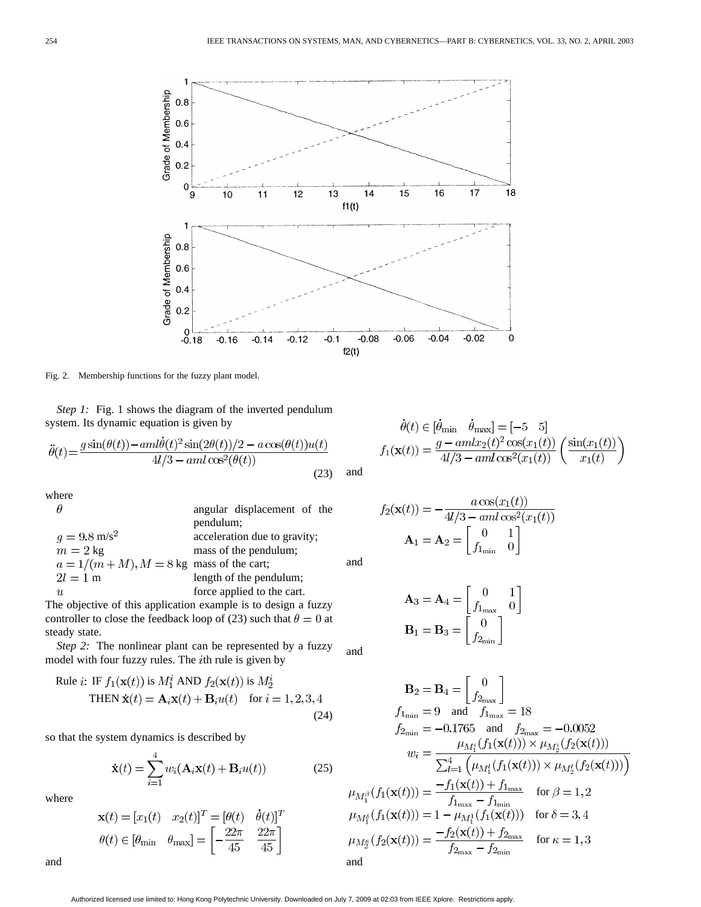

Fig. 2. Membership functions for the fuzzy plant model.

*Step 1:* Fig. 1 shows the diagram of the inverted pendulum system. Its dynamic equation is given by

$$
\ddot{\theta}(t) = \frac{g \sin(\theta(t)) - am l \dot{\theta}(t)^2 \sin(2\theta(t))/2 - a \cos(\theta(t))u(t)}{4l/3 - aml \cos^2(\theta(t))}
$$
\n(23)

where

| $\theta$                                            | angular displacement of the<br>pendulum; |
|-----------------------------------------------------|------------------------------------------|
| $g = 9.8 \text{ m/s}^2$                             | acceleration due to gravity;             |
| $m = 2 \text{ kg}$                                  | mass of the pendulum;                    |
| $a = 1/(m + M), M = 8 \text{ kg}$ mass of the cart; |                                          |
| $2l = 1 \text{ m}$                                  | length of the pendulum;                  |
| $u$                                                 | force applied to the cart.               |

The objective of this application example is to design a fuzzy controller to close the feedback loop of (23) such that  $\theta = 0$  at steady state.

*Step 2:* The nonlinear plant can be represented by a fuzzy model with four fuzzy rules. The  $i$ th rule is given by and

Rule *i*: IF 
$$
f_1(\mathbf{x}(t))
$$
 is  $M_1^*$  AND  $f_2(\mathbf{x}(t))$  is  $M_2^*$   
THEN  $\dot{\mathbf{x}}(t) = \mathbf{A}_i \mathbf{x}(t) + \mathbf{B}_i u(t)$  for  $i = 1, 2, 3, 4$  (24)

so that the system dynamics is described by

$$
\dot{\mathbf{x}}(t) = \sum_{i=1}^{4} w_i (\mathbf{A}_i \mathbf{x}(t) + \mathbf{B}_i u(t))
$$
 (25)

where

$$
\mathbf{x}(t) = [x_1(t) \quad x_2(t)]^T = [\theta(t) \quad \dot{\theta}(t)]^T
$$

$$
\theta(t) \in [\theta_{\text{min}} \quad \theta_{\text{max}}] = \begin{bmatrix} -\frac{22\pi}{45} & \frac{22\pi}{45} \end{bmatrix}
$$

$$
\dot{\theta}(t) \in [\dot{\theta}_{\min} \quad \dot{\theta}_{\max}] = [-5 \quad 5]
$$

$$
f_1(\mathbf{x}(t)) = \frac{g - amlx_2(t)^2 \cos(x_1(t))}{4l/3 - aml\cos^2(x_1(t))} \left(\frac{\sin(x_1(t))}{x_1(t)}\right)
$$

and

j

$$
f_2(\mathbf{x}(t)) = -\frac{a \cos(x_1(t))}{4l/3 - aml \cos^2(x_1(t))}
$$

$$
\mathbf{A}_1 = \mathbf{A}_2 = \begin{bmatrix} 0 & 1\\ f_{1_{\min}} & 0 \end{bmatrix}
$$

and

and

$$
\mathbf{A}_3 = \mathbf{A}_4 = \begin{bmatrix} 0 & 1 \\ f_{1_{\text{max}}} & 0 \end{bmatrix}
$$

$$
\mathbf{B}_1 = \mathbf{B}_3 = \begin{bmatrix} 0 \\ f_{2_{\text{min}}} \end{bmatrix}
$$

$$
\mathbf{B}_{2} = \mathbf{B}_{4} = \begin{bmatrix} 0 \\ f_{2_{\text{max}}} \end{bmatrix}
$$
  
\n $f_{1_{\text{min}}} = 9$  and  $f_{1_{\text{max}}} = 18$   
\n $f_{2_{\text{min}}} = -0.1765$  and  $f_{2_{\text{max}}} = -0.0052$   
\n $w_{i} = \frac{\mu_{M_{1}^{i}}(f_{1}(\mathbf{x}(t))) \times \mu_{M_{2}^{i}}(f_{2}(\mathbf{x}(t)))}{\sum_{l=1}^{4} (\mu_{M_{1}^{l}}(f_{1}(\mathbf{x}(t))) \times \mu_{M_{2}^{l}}(f_{2}(\mathbf{x}(t))))}$   
\n $\mu_{M_{1}^{\beta}}(f_{1}(\mathbf{x}(t))) = \frac{-f_{1}(\mathbf{x}(t)) + f_{1_{\text{max}}}}{f_{1_{\text{max}}} - f_{1_{\text{min}}}}$  for  $\beta = 1, 2$   
\n $\mu_{M_{1}^{\delta}}(f_{1}(\mathbf{x}(t))) = 1 - \mu_{M_{1}^{1}}(f_{1}(\mathbf{x}(t)))$  for  $\delta = 3, 4$   
\n $\mu_{M_{2}^{\kappa}}(f_{2}(\mathbf{x}(t))) = \frac{-f_{2}(\mathbf{x}(t)) + f_{2_{\text{max}}}}{f_{2_{\text{max}}} - f_{2_{\text{min}}}}$  for  $\kappa = 1, 3$ 

and

Authorized licensed use limited to: Hong Kong Polytechnic University. Downloaded on July 7, 2009 at 02:03 from IEEE Xplore. Restrictions apply.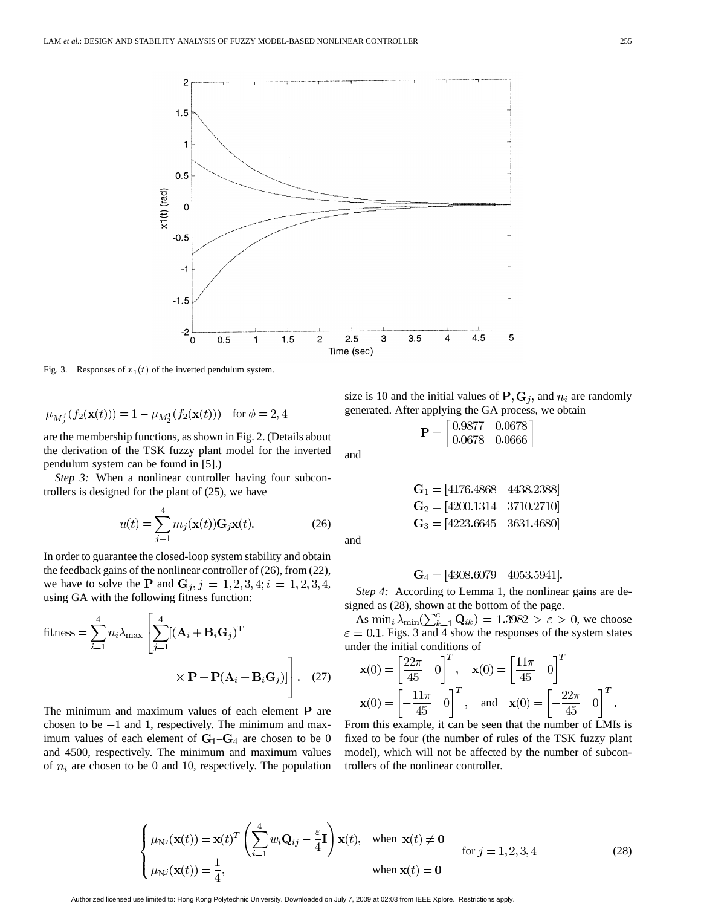

Fig. 3. Responses of  $x_1(t)$  of the inverted pendulum system.

$$
\mu_{M_2^{\phi}}(f_2(\mathbf{x}(t))) = 1 - \mu_{M_2^1}(f_2(\mathbf{x}(t))) \quad \text{for } \phi = 2, 4
$$

are the membership functions, as shown in Fig. 2. (Details about the derivation of the TSK fuzzy plant model for the inverted pendulum system can be found in [5].)

*Step 3:* When a nonlinear controller having four subcontrollers is designed for the plant of (25), we have

$$
u(t) = \sum_{j=1}^{4} m_j(\mathbf{x}(t)) \mathbf{G}_j \mathbf{x}(t).
$$
 (26)

In order to guarantee the closed-loop system stability and obtain the feedback gains of the nonlinear controller of (26), from (22), we have to solve the **P** and  $G_j$ ,  $j = 1, 2, 3, 4$ ;  $i = 1, 2, 3, 4$ , using GA with the following fitness function:

fitness = 
$$
\sum_{i=1}^{4} n_i \lambda_{\max} \left[ \sum_{j=1}^{4} [(\mathbf{A}_i + \mathbf{B}_i \mathbf{G}_j)^{\mathrm{T}} \times \mathbf{P} + \mathbf{P}(\mathbf{A}_i + \mathbf{B}_i \mathbf{G}_j)] \right].
$$
 (27)

The minimum and maximum values of each element  $P$  are chosen to be  $-1$  and 1, respectively. The minimum and maximum values of each element of  $G_1-G_4$  are chosen to be 0 and 4500, respectively. The minimum and maximum values of  $n_i$  are chosen to be 0 and 10, respectively. The population

size is 10 and the initial values of  $P, G_i$ , and  $n_i$  are randomly generated. After applying the GA process, we obtain

$$
\mathbf{P} = \begin{bmatrix} 0.9877 & 0.0678 \\ 0.0678 & 0.0666 \end{bmatrix}
$$

$$
\mathbf{G}_1 = [4176.4868 \quad 4438.2388]
$$
  
\n
$$
\mathbf{G}_2 = [4200.1314 \quad 3710.2710]
$$
  
\n
$$
\mathbf{G}_3 = [4223.6645 \quad 3631.4680]
$$

and

and

# $G_4 = [4308.6079 \quad 4053.5941].$

*Step 4:* According to Lemma 1, the nonlinear gains are designed as (28), shown at the bottom of the page.

As  $\min_i \lambda_{\min}(\sum_{k=1}^c \mathbf{Q}_{ik}) = 1.3982 > \epsilon > 0$ , we choose  $\varepsilon = 0.1$ . Figs. 3 and 4 show the responses of the system states under the initial conditions of

$$
\mathbf{x}(0) = \begin{bmatrix} \frac{22\pi}{45} & 0 \end{bmatrix}^T, \quad \mathbf{x}(0) = \begin{bmatrix} \frac{11\pi}{45} & 0 \end{bmatrix}^T
$$

$$
\mathbf{x}(0) = \begin{bmatrix} -\frac{11\pi}{45} & 0 \end{bmatrix}^T, \quad \text{and} \quad \mathbf{x}(0) = \begin{bmatrix} -\frac{22\pi}{45} & 0 \end{bmatrix}^T.
$$

From this example, it can be seen that the number of LMIs is fixed to be four (the number of rules of the TSK fuzzy plant model), which will not be affected by the number of subcontrollers of the nonlinear controller.

$$
\begin{cases}\n\mu_{\mathbf{N}^j}(\mathbf{x}(t)) = \mathbf{x}(t)^T \left( \sum_{i=1}^4 w_i \mathbf{Q}_{ij} - \frac{\varepsilon}{4} \mathbf{I} \right) \mathbf{x}(t), \quad \text{when } \mathbf{x}(t) \neq \mathbf{0} \\
\mu_{\mathbf{N}^j}(\mathbf{x}(t)) = \frac{1}{4}, \quad \text{when } \mathbf{x}(t) = \mathbf{0}\n\end{cases}
$$
\n
$$
(28)
$$

Authorized licensed use limited to: Hong Kong Polytechnic University. Downloaded on July 7, 2009 at 02:03 from IEEE Xplore. Restrictions apply.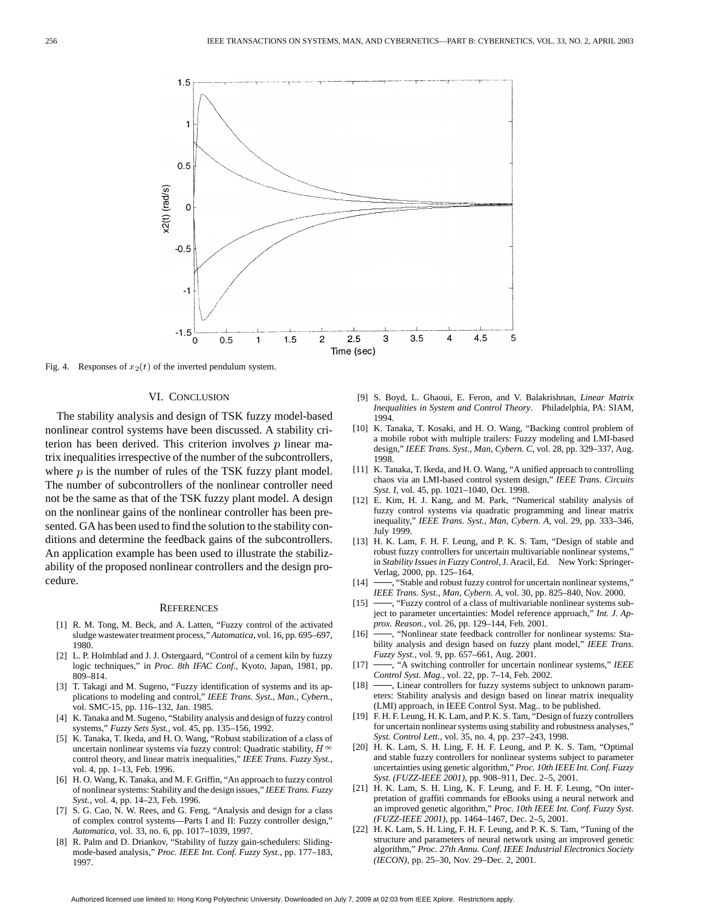

Fig. 4. Responses of  $x_2(t)$  of the inverted pendulum system.

# VI. CONCLUSION

The stability analysis and design of TSK fuzzy model-based nonlinear control systems have been discussed. A stability criterion has been derived. This criterion involves  $p$  linear matrix inequalities irrespective of the number of the subcontrollers, where  $p$  is the number of rules of the TSK fuzzy plant model. The number of subcontrollers of the nonlinear controller need not be the same as that of the TSK fuzzy plant model. A design on the nonlinear gains of the nonlinear controller has been presented. GA has been used to find the solution to the stability conditions and determine the feedback gains of the subcontrollers. An application example has been used to illustrate the stabilizability of the proposed nonlinear controllers and the design procedure.

#### **REFERENCES**

- [1] R. M. Tong, M. Beck, and A. Latten, "Fuzzy control of the activated sludge wastewater treatment process," *Automatica*, vol. 16, pp. 695–697, 1980.
- [2] L. P. Holmblad and J. J. Ostergaard, "Control of a cement kiln by fuzzy logic techniques," in *Proc. 8th IFAC Conf.*, Kyoto, Japan, 1981, pp. 809–814.
- [3] T. Takagi and M. Sugeno, "Fuzzy identification of systems and its applications to modeling and control," *IEEE Trans. Syst., Man., Cybern.*, vol. SMC-15, pp. 116–132, Jan. 1985.
- [4] K. Tanaka and M. Sugeno, "Stability analysis and design of fuzzy control systems," *Fuzzy Sets Syst.*, vol. 45, pp. 135–156, 1992.
- [5] K. Tanaka, T. Ikeda, and H. O. Wang, "Robust stabilization of a class of uncertain nonlinear systems via fuzzy control: Quadratic stability,  $H^{\infty}$ control theory, and linear matrix inequalities," *IEEE Trans. Fuzzy Syst.*, vol. 4, pp. 1–13, Feb. 1996.
- [6] H. O. Wang, K. Tanaka, and M. F. Griffin, "An approach to fuzzy control of nonlinear systems: Stability and the design issues," *IEEE Trans. Fuzzy Syst.*, vol. 4, pp. 14–23, Feb. 1996.
- [7] S. G. Cao, N. W. Rees, and G. Feng, "Analysis and design for a class of complex control systems—Parts I and II: Fuzzy controller design," *Automatica*, vol. 33, no. 6, pp. 1017–1039, 1997.
- [8] R. Palm and D. Driankov, "Stability of fuzzy gain-schedulers: Slidingmode-based analysis," *Proc. IEEE Int. Conf. Fuzzy Syst.*, pp. 177–183, 1997.
- [9] S. Boyd, L. Ghaoui, E. Feron, and V. Balakrishnan, *Linear Matrix Inequalities in System and Control Theory*. Philadelphia, PA: SIAM, 1994.
- [10] K. Tanaka, T. Kosaki, and H. O. Wang, "Backing control problem of a mobile robot with multiple trailers: Fuzzy modeling and LMI-based design," *IEEE Trans. Syst., Man, Cybern. C*, vol. 28, pp. 329–337, Aug. 1998.
- [11] K. Tanaka, T. Ikeda, and H. O. Wang, "A unified approach to controlling chaos via an LMI-based control system design," *IEEE Trans. Circuits Syst. I*, vol. 45, pp. 1021–1040, Oct. 1998.
- [12] E. Kim, H. J. Kang, and M. Park, "Numerical stability analysis of fuzzy control systems via quadratic programming and linear matrix inequality," *IEEE Trans. Syst., Man, Cybern. A*, vol. 29, pp. 333–346, July 1999.
- [13] H. K. Lam, F. H. F. Leung, and P. K. S. Tam, "Design of stable and robust fuzzy controllers for uncertain multivariable nonlinear systems," in *Stability Issues in Fuzzy Control*, J. Aracil, Ed. New York: Springer-Verlag, 2000, pp. 125–164.
- [14]  $\frac{1}{2}$ , "Stable and robust fuzzy control for uncertain nonlinear systems," *IEEE Trans. Syst., Man, Cybern. A*, vol. 30, pp. 825–840, Nov. 2000.
- [15]  $\frac{15}{15}$  (Fuzzy control of a class of multivariable nonlinear systems subject to parameter uncertainties: Model reference approach," *Int. J. Approx. Reason.*, vol. 26, pp. 129–144, Feb. 2001.
- [16] -, "Nonlinear state feedback controller for nonlinear systems: Stability analysis and design based on fuzzy plant model," *IEEE Trans. Fuzzy Syst.*, vol. 9, pp. 657–661, Aug. 2001.
- [17] , "A switching controller for uncertain nonlinear systems," *IEEE Control Syst. Mag.*, vol. 22, pp. 7–14, Feb. 2002.
- [18] -, Linear controllers for fuzzy systems subject to unknown parameters: Stability analysis and design based on linear matrix inequality (LMI) approach, in IEEE Control Syst. Mag.. to be published.
- [19] F. H. F. Leung, H. K. Lam, and P. K. S. Tam, "Design of fuzzy controllers for uncertain nonlinear systems using stability and robustness analyses," *Syst. Control Lett.*, vol. 35, no. 4, pp. 237–243, 1998.
- [20] H. K. Lam, S. H. Ling, F. H. F. Leung, and P. K. S. Tam, "Optimal and stable fuzzy controllers for nonlinear systems subject to parameter uncertainties using genetic algorithm," *Proc. 10th IEEE Int. Conf. Fuzzy Syst. (FUZZ-IEEE 2001)*, pp. 908–911, Dec. 2–5, 2001.
- [21] H. K. Lam, S. H. Ling, K. F. Leung, and F. H. F. Leung, "On interpretation of graffiti commands for eBooks using a neural network and an improved genetic algorithm," *Proc. 10th IEEE Int. Conf. Fuzzy Syst. (FUZZ-IEEE 2001)*, pp. 1464–1467, Dec. 2–5, 2001.
- [22] H. K. Lam, S. H. Ling, F. H. F. Leung, and P. K. S. Tam, "Tuning of the structure and parameters of neural network using an improved genetic algorithm," *Proc. 27th Annu. Conf. IEEE Industrial Electronics Society (IECON)*, pp. 25–30, Nov. 29–Dec. 2, 2001.